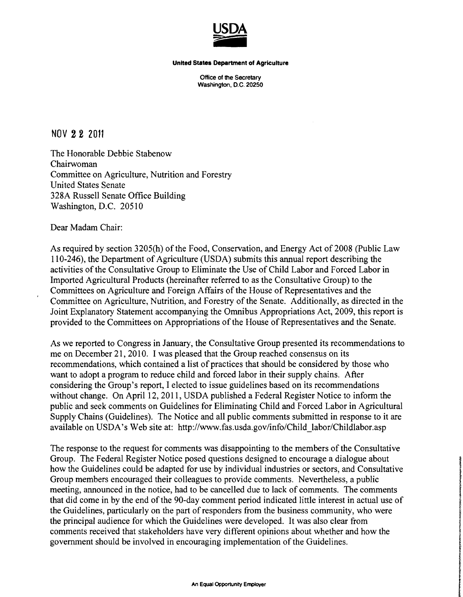

Office of the Secretary Washington, D.C. 20250

NOV 22 2011

The Honorable Debbie Stabenow Chairwoman Committee on Agriculture, Nutrition and Forestry United States Senate 328A Russell Senate Office Building Washington, D.C. 20510

Dear Madam Chair:

As required by section 3205(h) of the Food, Conservation, and Energy Act of 2008 (Public Law 110-246), the Department of Agriculture (USDA) submits this annual report describing the activities of the Consultative Group to Eliminate the Use of Child Labor and Forced Labor in Imported Agricultural Products (hereinafter referred to as the Consultative Group) to the Committees on Agriculture and Foreign Affairs of the House of Representatives and the Committee on Agriculture, Nutrition, and Forestry of the Senate. Additionally, as directed in the Joint Explanatory Statement accompanying the Omnibus Appropriations Act, 2009, this report is provided to the Committees on Appropriations of the House of Representatives and the Senate.

As we reported to Congress in January, the Consultative Group presented its recommendations to me on December 21,2010. I was pleased that the Group reached consensus on its recommendations, which contained a list of practices that should be considered by those who want to adopt a program to reduce child and forced labor in their supply chains. After considering the Group's report, I elected to issue guidelines based on its recommendations without change. On April 12,2011, USDA published a Federal Register Notice to inform the public and seek comments on Guidelines for Eliminating Child and Forced Labor in Agricultural Supply Chains (Guidelines). The Notice and all public comments submitted in response to it are available on USDA's Web site at: http://www.fas.usda.gov/info/Child\_labor/Childlabor.asp

The response to the request for comments was disappointing to the members of the Consultative Group. The Federal Register Notice posed questions designed to encourage a dialogue about how the Guidelines could be adapted for use by individual industries or sectors, and Consultative Group members encouraged their colleagues to provide comments. Nevertheless, a public meeting, announced in the notice, had to be cancelled due to lack of comments. The comments that did come in by the end of the 90-day comment period indicated little interest in actual use of the Guidelines, particularly on the part of responders from the business community, who were the principal audience for which the Guidelines were developed. It was also clear from comments received that stakeholders have very different opinions about whether and how the government should be involved in encouraging implementation of the Guidelines.